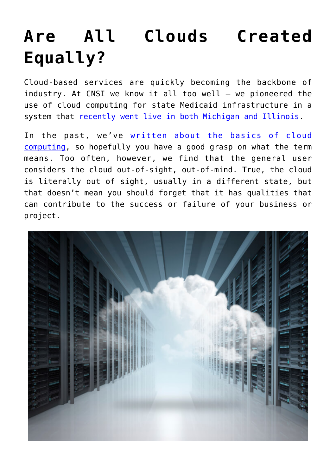## **[Are All Clouds Created](https://www.cns-inc.com/insights/thought-leadership/are-all-clouds-created-equally/) [Equally?](https://www.cns-inc.com/insights/thought-leadership/are-all-clouds-created-equally/)**

Cloud-based services are quickly becoming the backbone of industry. At CNSI we know it all too well — we pioneered the use of cloud computing for state Medicaid infrastructure in a system that [recently went live in both Michigan and Illinois](https://www.google.com/url?sa=t&rct=j&q=&esrc=s&source=newssearch&cd=2&cad=rja&uact=8&ved=0CB0QqQIoADABahUKEwio5J_8t5jJAhWCMj4KHXo3CfA&url=http%3A%2F%2Fhitconsultant.net%2F2015%2F10%2F22%2Fmichigan-launches-cloud-based-medicaid-system%2F&usg=AFQjCNGSDhQX7vAGx0ZZx6f-BYjQimy_WQ&sig2=llgH7LfKHtkzP_f2B_7nJA&bvm=bv.107763241,d.cGU).

In the past, we've [written about the basics of cloud](https://www.google.com/url?sa=t&rct=j&q=&esrc=s&source=web&cd=1&cad=rja&uact=8&ved=0CCMQFjAAahUKEwil6NWLuJjJAhUXUYgKHQW3AmA&url=http%3A%2F%2Fwww.cns-inc.com%2Fblog%2Fcloud-computing-101&usg=AFQjCNFUDl9sknv48cufc0kSyCVaDXM2zQ&sig2=F3HVN1g_KyQbiComeYsxCQ&bvm=bv.107763241,d.cGU) [computing](https://www.google.com/url?sa=t&rct=j&q=&esrc=s&source=web&cd=1&cad=rja&uact=8&ved=0CCMQFjAAahUKEwil6NWLuJjJAhUXUYgKHQW3AmA&url=http%3A%2F%2Fwww.cns-inc.com%2Fblog%2Fcloud-computing-101&usg=AFQjCNFUDl9sknv48cufc0kSyCVaDXM2zQ&sig2=F3HVN1g_KyQbiComeYsxCQ&bvm=bv.107763241,d.cGU), so hopefully you have a good grasp on what the term means. Too often, however, we find that the general user considers the cloud out-of-sight, out-of-mind. True, the cloud is literally out of sight, usually in a different state, but that doesn't mean you should forget that it has qualities that can contribute to the success or failure of your business or project.